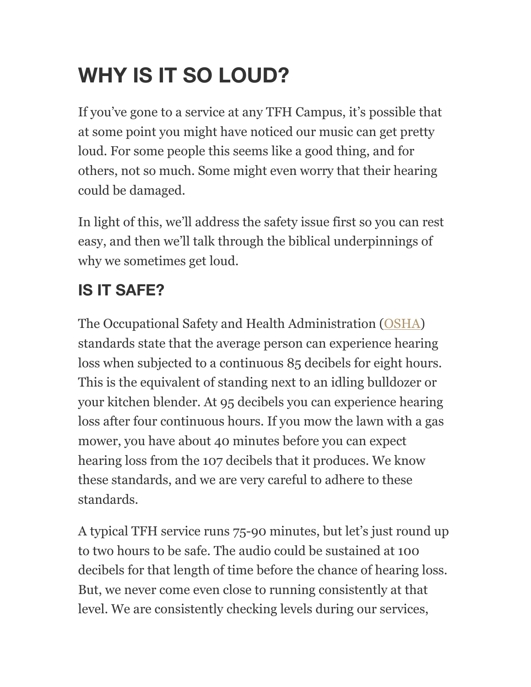# **WHY IS IT SO LOUD?**

If you've gone to a service at any TFH Campus, it's possible that at some point you might have noticed our music can get pretty loud. For some people this seems like a good thing, and for others, not so much. Some might even worry that their hearing could be damaged.

In light of this, we'll address the safety issue first so you can rest easy, and then we'll talk through the biblical underpinnings of why we sometimes get loud.

### **IS IT SAFE?**

The Occupational Safety and Health Administration [\(OSHA\)](https://www.osha.gov/SLTC/noisehearingconservation/index.html) standards state that the average person can experience hearing loss when subjected to a continuous 85 decibels for eight hours. This is the equivalent of standing next to an idling bulldozer or your kitchen blender. At 95 decibels you can experience hearing loss after four continuous hours. If you mow the lawn with a gas mower, you have about 40 minutes before you can expect hearing loss from the 107 decibels that it produces. We know these standards, and we are very careful to adhere to these standards.

A typical TFH service runs 75-90 minutes, but let's just round up to two hours to be safe. The audio could be sustained at 100 decibels for that length of time before the chance of hearing loss. But, we never come even close to running consistently at that level. We are consistently checking levels during our services,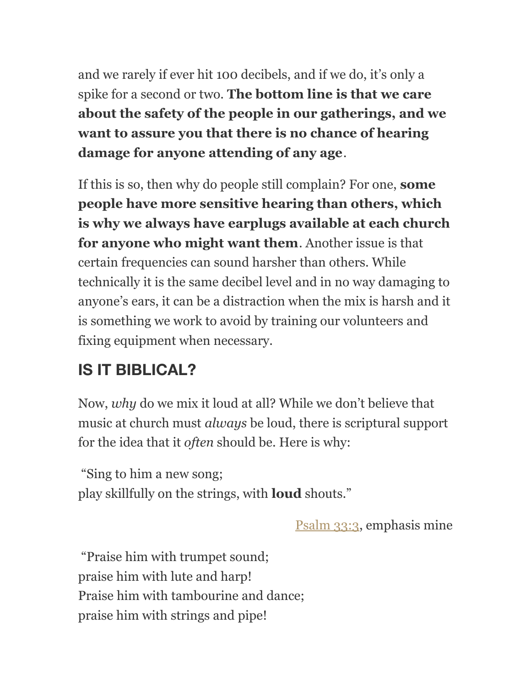and we rarely if ever hit 100 decibels, and if we do, it's only a spike for a second or two. **The bottom line is that we care about the safety of the people in our gatherings, and we want to assure you that there is no chance of hearing damage for anyone attending of any age**.

If this is so, then why do people still complain? For one, **some people have more sensitive hearing than others, which is why we always have earplugs available at each church for anyone who might want them**. Another issue is that certain frequencies can sound harsher than others. While technically it is the same decibel level and in no way damaging to anyone's ears, it can be a distraction when the mix is harsh and it is something we work to avoid by training our volunteers and fixing equipment when necessary.

### **IS IT BIBLICAL?**

Now, *why* do we mix it loud at all? While we don't believe that music at church must *always* be loud, there is scriptural support for the idea that it *often* should be. Here is why:

"Sing to him a new song; play skillfully on the strings, with **loud** shouts."

[Psalm 33:3,](http://www.esvbible.org/Psalm+33%3A3/) emphasis mine

"Praise him with trumpet sound; praise him with lute and harp! Praise him with tambourine and dance; praise him with strings and pipe!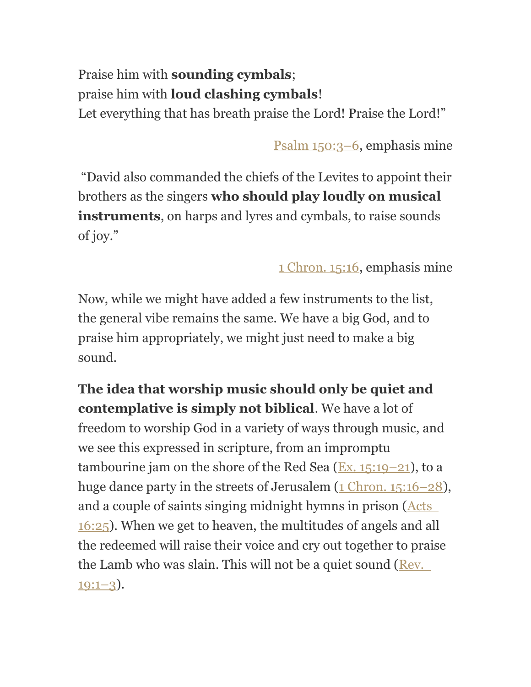#### Praise him with **sounding cymbals**; praise him with **loud clashing cymbals**! Let everything that has breath praise the Lord! Praise the Lord!"

[Psalm 150:3–6,](http://www.esvbible.org/Psalm+150%3A3-6/) emphasis mine

"David also commanded the chiefs of the Levites to appoint their brothers as the singers **who should play loudly on musical instruments**, on harps and lyres and cymbals, to raise sounds of joy."

[1 Chron. 15:16,](http://www.esvbible.org/1+Chronicles+15%3A16/) emphasis mine

Now, while we might have added a few instruments to the list, the general vibe remains the same. We have a big God, and to praise him appropriately, we might just need to make a big sound.

**The idea that worship music should only be quiet and contemplative is simply not biblical**. We have a lot of freedom to worship God in a variety of ways through music, and we see this expressed in scripture, from an impromptu tambourine jam on the shore of the Red Sea  $(Ex, 15:19-21)$ , to a huge dance party in the streets of Jerusalem (1 Chron. 15:16-28), and a couple of saints singing midnight hymns in prison [\(Acts](http://www.esvbible.org/Acts+16%3A25/)  [16:25\)](http://www.esvbible.org/Acts+16%3A25/). When we get to heaven, the multitudes of angels and all the redeemed will raise their voice and cry out together to praise the Lamb who was slain. This will not be a quiet sound (Rev.  $19:1-3$ ).